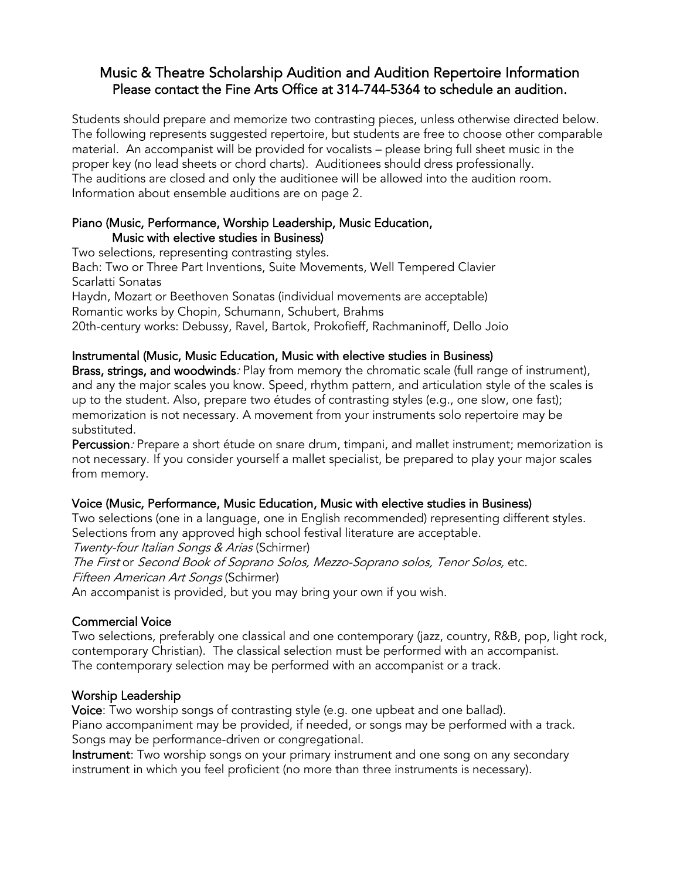# Music & Theatre Scholarship Audition and Audition Repertoire Information Please contact the Fine Arts Office at 314-744-5364 to schedule an audition.

Students should prepare and memorize two contrasting pieces, unless otherwise directed below. The following represents suggested repertoire, but students are free to choose other comparable material. An accompanist will be provided for vocalists – please bring full sheet music in the proper key (no lead sheets or chord charts). Auditionees should dress professionally. The auditions are closed and only the auditionee will be allowed into the audition room. Information about ensemble auditions are on page 2.

## Piano (Music, Performance, Worship Leadership, Music Education, Music with elective studies in Business)

Two selections, representing contrasting styles. Bach: Two or Three Part Inventions, Suite Movements, Well Tempered Clavier Scarlatti Sonatas Haydn, Mozart or Beethoven Sonatas (individual movements are acceptable) Romantic works by Chopin, Schumann, Schubert, Brahms 20th-century works: Debussy, Ravel, Bartok, Prokofieff, Rachmaninoff, Dello Joio

## Instrumental (Music, Music Education, Music with elective studies in Business)

Brass, strings, and woodwinds. Play from memory the chromatic scale (full range of instrument), and any the major scales you know. Speed, rhythm pattern, and articulation style of the scales is up to the student. Also, prepare two études of contrasting styles (e.g., one slow, one fast); memorization is not necessary. A movement from your instruments solo repertoire may be substituted.

Percussion: Prepare a short étude on snare drum, timpani, and mallet instrument; memorization is not necessary. If you consider yourself a mallet specialist, be prepared to play your major scales from memory.

## Voice (Music, Performance, Music Education, Music with elective studies in Business)

Two selections (one in a language, one in English recommended) representing different styles. Selections from any approved high school festival literature are acceptable. Twenty-four Italian Songs & Arias (Schirmer)

The First or Second Book of Soprano Solos, Mezzo-Soprano solos, Tenor Solos, etc. Fifteen American Art Songs (Schirmer)

An accompanist is provided, but you may bring your own if you wish.

## Commercial Voice

Two selections, preferably one classical and one contemporary (jazz, country, R&B, pop, light rock, contemporary Christian). The classical selection must be performed with an accompanist. The contemporary selection may be performed with an accompanist or a track.

## Worship Leadership

Voice: Two worship songs of contrasting style (e.g. one upbeat and one ballad). Piano accompaniment may be provided, if needed, or songs may be performed with a track. Songs may be performance-driven or congregational.

Instrument: Two worship songs on your primary instrument and one song on any secondary instrument in which you feel proficient (no more than three instruments is necessary).